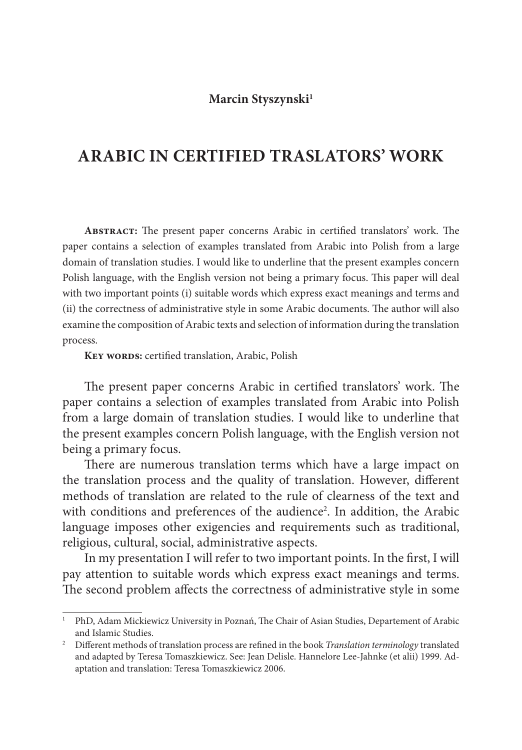## **Marcin Styszynski1**

## **ARABIC IN CERTIFIED TRASLATORS' WORK**

ABSTRACT: The present paper concerns Arabic in certified translators' work. The paper contains a selection of examples translated from Arabic into Polish from a large domain of translation studies. I would like to underline that the present examples concern Polish language, with the English version not being a primary focus. This paper will deal with two important points (i) suitable words which express exact meanings and terms and (ii) the correctness of administrative style in some Arabic documents. The author will also examine the composition of Arabic texts and selection of information during the translation process.

KEY WORDS: certified translation, Arabic, Polish

The present paper concerns Arabic in certified translators' work. The paper contains a selection of examples translated from Arabic into Polish from a large domain of translation studies. I would like to underline that the present examples concern Polish language, with the English version not being a primary focus.

There are numerous translation terms which have a large impact on the translation process and the quality of translation. However, different methods of translation are related to the rule of clearness of the text and with conditions and preferences of the audience<sup>2</sup>. In addition, the Arabic language imposes other exigencies and requirements such as traditional, religious, cultural, social, administrative aspects.

In my presentation I will refer to two important points. In the first, I will pay attention to suitable words which express exact meanings and terms. The second problem affects the correctness of administrative style in some

<sup>&</sup>lt;sup>1</sup> PhD, Adam Mickiewicz University in Poznań, The Chair of Asian Studies, Departement of Arabic and Islamic Studies.

<sup>&</sup>lt;sup>2</sup> Different methods of translation process are refined in the book *Translation terminology* translated and adapted by Teresa Tomaszkiewicz. See: Jean Delisle. Hannelore Lee-Jahnke (et alii) 1999. Adaptation and translation: Teresa Tomaszkiewicz 2006.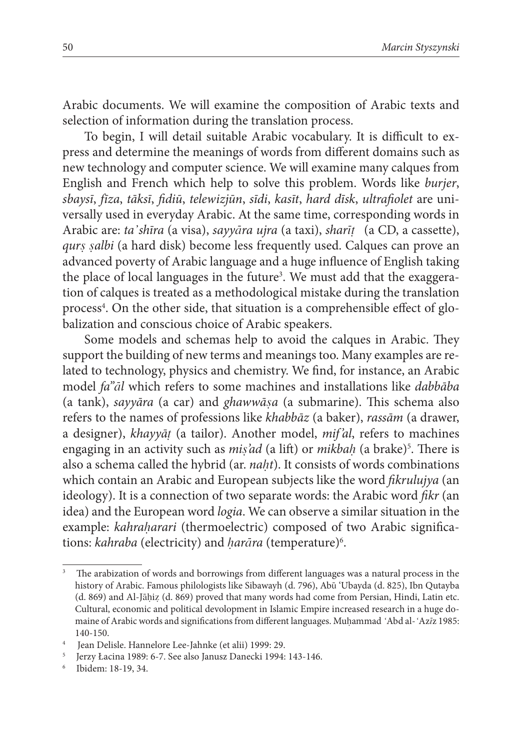Arabic documents. We will examine the composition of Arabic texts and selection of information during the translation process.

To begin, I will detail suitable Arabic vocabulary. It is difficult to express and determine the meanings of words from different domains such as new technology and computer science. We will examine many calques from English and French which help to solve this problem. Words like *burjer*, *sbaysī*, *fīza*, *tāksī*, *fi diū*, *telewizjūn*, *sīdi*, *kasīt*, *hard dīsk*, *ultrafi olet* are universally used in everyday Arabic. At the same time, corresponding words in Arabic are: *ta'shīra* (a visa), *sayyāra ujra* (a taxi), *sharīt* (a CD, a cassette), *qurs salbi* (a hard disk) become less frequently used. Calques can prove an advanced poverty of Arabic language and a huge influence of English taking the place of local languages in the future<sup>3</sup>. We must add that the exaggeration of calques is treated as a methodological mistake during the translation process<sup>4</sup>. On the other side, that situation is a comprehensible effect of globalization and conscious choice of Arabic speakers.

Some models and schemas help to avoid the calques in Arabic. They support the building of new terms and meanings too. Many examples are related to technology, physics and chemistry. We find, for instance, an Arabic model *fa''l* which refers to some machines and installations like *dabbāba* (a tank), *sayyāra* (a car) and *ghawwāsa* (a submarine). This schema also refers to the names of professions like *khabbāz* (a baker), *rassām* (a drawer, a designer), *khayyā* (a tailor). Another model, *mif'al*, refers to machines engaging in an activity such as *mis'ad* (a lift) or *mikbah* (a brake)<sup>5</sup>. There is also a schema called the hybrid (ar. *nat*). It consists of words combinations which contain an Arabic and European subjects like the word *fikrulujya* (an ideology). It is a connection of two separate words: the Arabic word *fikr* (an idea) and the European word *logia*. We can observe a similar situation in the example: *kahraharari* (thermoelectric) composed of two Arabic significations: *kahraba* (electricity) and *harāra* (temperature)<sup>6</sup>.

The arabization of words and borrowings from different languages was a natural process in the history of Arabic. Famous philologists like Sibawayh (d. 796), Abū 'Ubayda (d. 825), Ibn Qutayba (d. 869) and Al-Jāhiz (d. 869) proved that many words had come from Persian, Hindi, Latin etc. Cultural, economic and political devolopment in Islamic Empire increased research in a huge domaine of Arabic words and significations from different languages. Muhammad 'Abd al-'Azīz 1985: 140-150. 4 Jean Delisle. Hannelore Lee-Jahnke (et alii) 1999: 29.

<sup>5</sup> Jerzy Łacina 1989: 6-7. See also Janusz Danecki 1994: 143-146.

<sup>6</sup> Ibidem: 18-19, 34.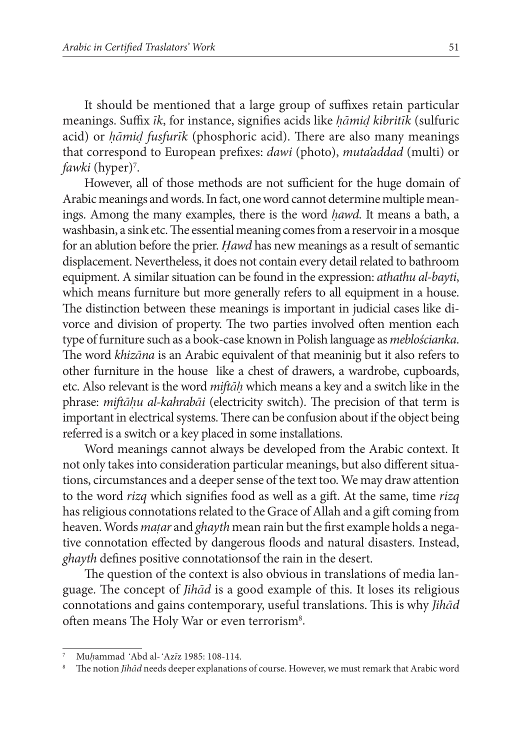It should be mentioned that a large group of suffixes retain particular meanings. Suffix *ik*, for instance, signifies acids like *hāmid kibritīk* (sulfuric acid) or *hāmid fusfurk* (phosphoric acid). There are also many meanings that correspond to European prefixes: *dawi* (photo), *muta'addad* (multi) or *fawki* (hyper)<sup>7</sup>.

However, all of those methods are not sufficient for the huge domain of Arabic meanings and words.In fact, one word cannot determine multiple meanings. Among the many examples, there is the word *hawd*. It means a bath, a washbasin, a sink etc. The essential meaning comes from a reservoir in a mosque for an ablution before the prier. *Hawd* has new meanings as a result of semantic displacement. Nevertheless, it does not contain every detail related to bathroom equipment. A similar situation can be found in the expression: *athathu al-bayti*, which means furniture but more generally refers to all equipment in a house. The distinction between these meanings is important in judicial cases like divorce and division of property. The two parties involved often mention each type of furniture such as a book-case known in Polish language as *meblościanka*. The word *khizana* is an Arabic equivalent of that meaninig but it also refers to other furniture in the house like a chest of drawers, a wardrobe, cupboards, etc. Also relevant is the word *miftah* which means a key and a switch like in the phrase: *miftahu al-kahrabāi* (electricity switch). The precision of that term is important in electrical systems. There can be confusion about if the object being referred is a switch or a key placed in some installations.

Word meanings cannot always be developed from the Arabic context. It not only takes into consideration particular meanings, but also different situations, circumstances and a deeper sense of the text too. We may draw attention to the word *rizq* which signifies food as well as a gift. At the same, time *rizq* has religious connotations related to the Grace of Allah and a gift coming from heaven. Words *matar* and *ghayth* mean rain but the first example holds a negative connotation effected by dangerous floods and natural disasters. Instead, *ghayth* defines positive connotationsof the rain in the desert.

The question of the context is also obvious in translations of media language. The concept of *Jihad* is a good example of this. It loses its religious connotations and gains contemporary, useful translations. This is why *Jihad* often means The Holy War or even terrorism<sup>8</sup>.

Mu/ammad 'Abd al-'Aziz 1985: 108-114.<br>The notion *Jihād* needs deeper explanations of course. However, we must remark that Arabic word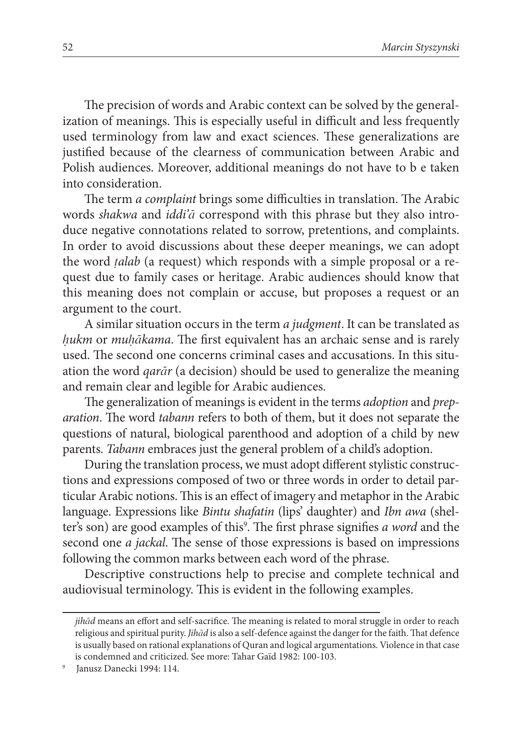The precision of words and Arabic context can be solved by the generalization of meanings. This is especially useful in difficult and less frequently used terminology from law and exact sciences. These generalizations are justified because of the clearness of communication between Arabic and Polish audiences. Moreover, additional meanings do not have to b e taken into consideration.

The term *a complaint* brings some difficulties in translation. The Arabic words *shakwa* and *iddi'a* correspond with this phrase but they also introduce negative connotations related to sorrow, pretentions, and complaints. In order to avoid discussions about these deeper meanings, we can adopt the word *alab* (a request) which responds with a simple proposal or a request due to family cases or heritage. Arabic audiences should know that this meaning does not complain or accuse, but proposes a request or an argument to the court.

A similar situation occurs in the term *a judgment*. It can be translated as *hukm* or *muhākama*. The first equivalent has an archaic sense and is rarely used. The second one concerns criminal cases and accusations. In this situation the word *qarr* (a decision) should be used to generalize the meaning and remain clear and legible for Arabic audiences.

The generalization of meanings is evident in the terms *adoption* and *preparation*. The word *tabann* refers to both of them, but it does not separate the questions of natural, biological parenthood and adoption of a child by new parents. *Tabann* embraces just the general problem of a child's adoption.

During the translation process, we must adopt different stylistic constructions and expressions composed of two or three words in order to detail particular Arabic notions. This is an effect of imagery and metaphor in the Arabic language. Expressions like *Bintu shafatin* (lips' daughter) and *Ibn awa* (shelter's son) are good examples of this<sup>9</sup>. The first phrase signifies *a word* and the second one *a jackal*. The sense of those expressions is based on impressions following the common marks between each word of the phrase.

Descriptive constructions help to precise and complete technical and audiovisual terminology. This is evident in the following examples.

*jih* $\bar{a}d$  means an effort and self-sacrifice. The meaning is related to moral struggle in order to reach religious and spiritual purity. *Jihād* is also a self-defence against the danger for the faith. That defence is usually based on rational explanations of Quran and logical argumentations. Violence in that case is condemned and criticized. See more: Tahar Gaïd 1982: 100-103. 9 Janusz Danecki 1994: 114.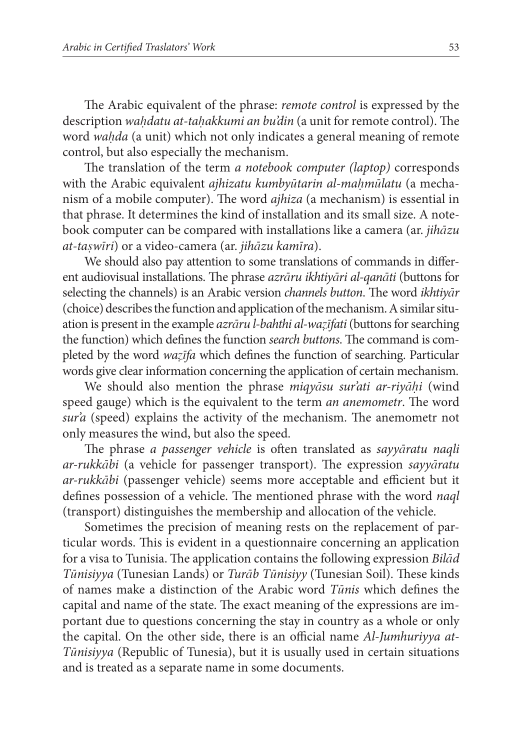The Arabic equivalent of the phrase: *remote control* is expressed by the description *wahdatu at-tahakkumi an bu'din* (a unit for remote control). The word *wada* (a unit) which not only indicates a general meaning of remote control, but also especially the mechanism.

The translation of the term *a notebook computer (laptop)* corresponds with the Arabic equivalent *ajhizatu kumbytarin al-mamlatu* (a mechanism of a mobile computer). The word *ajhiza* (a mechanism) is essential in that phrase. It determines the kind of installation and its small size. A notebook computer can be compared with installations like a camera (ar. *jihzu at-tawri*) or a video-camera (ar. *jihzu kamra*).

We should also pay attention to some translations of commands in different audiovisual installations. The phrase *azrāru ikhtiyāri al-qanāti* (buttons for selecting the channels) is an Arabic version *channels button*. The word *ikhtivar* (choice) describes the function and application of the mechanism. A similar situation is present in the example *azrru l-bahthi al-wafati* (buttons for searching the function) which defines the function *search buttons*. The command is completed by the word *wazifa* which defines the function of searching. Particular words give clear information concerning the application of certain mechanism.

We should also mention the phrase *miqysu sur'ati ar-riyi* (wind speed gauge) which is the equivalent to the term *an anemometr*. The word *sur'a* (speed) explains the activity of the mechanism. The anemometr not only measures the wind, but also the speed.

The phrase *a passenger vehicle* is often translated as *sayyaratu naqli ar-rukkābi* (a vehicle for passenger transport). The expression *sayyāratu ar-rukkābi* (passenger vehicle) seems more acceptable and efficient but it defines possession of a vehicle. The mentioned phrase with the word *naql* (transport) distinguishes the membership and allocation of the vehicle.

Sometimes the precision of meaning rests on the replacement of particular words. This is evident in a questionnaire concerning an application for a visa to Tunisia. The application contains the following expression *Bilad Tūnisiyya* (Tunesian Lands) or *Turāb Tūnisiyy* (Tunesian Soil). These kinds of names make a distinction of the Arabic word *Tūnis* which defines the capital and name of the state. The exact meaning of the expressions are important due to questions concerning the stay in country as a whole or only the capital. On the other side, there is an official name *Al-Jumhuriyya at*-*Tnisiyya* (Republic of Tunesia), but it is usually used in certain situations and is treated as a separate name in some documents.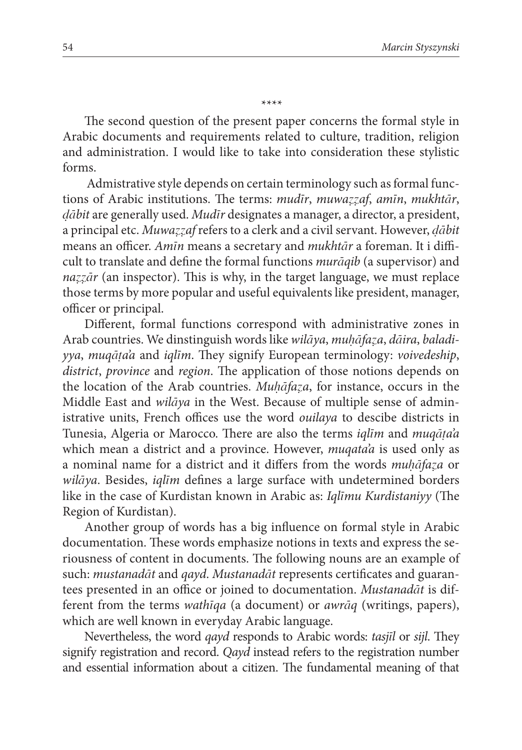The second question of the present paper concerns the formal style in Arabic documents and requirements related to culture, tradition, religion and administration. I would like to take into consideration these stylistic forms.

 Admistrative style depends on certain terminology such as formal functions of Arabic institutions. The terms: *mudir*, *muwazzaf*, *amin*, *mukhtār*, *bit* are generally used. *Mudr* designates a manager, a director, a president, a principal etc. Muwazzaf refers to a clerk and a civil servant. However, dabit means an officer. *Amīn* means a secretary and *mukhtār* a foreman. It i difficult to translate and define the formal functions *muraqib* (a supervisor) and  $nazz\bar{a}r$  (an inspector). This is why, in the target language, we must replace those terms by more popular and useful equivalents like president, manager, officer or principal.

Different, formal functions correspond with administrative zones in Arab countries. We dinstinguish words like *wilya*, *mufaa*, *dira*, *baladiyya*, *muqāta'a* and *iqlīm*. They signify European terminology: *voivedeship*, *district*, *province* and *region*. The application of those notions depends on the location of the Arab countries. *Mufaa*, for instance, occurs in the Middle East and *wilya* in the West. Because of multiple sense of administrative units, French offices use the word *ouilaya* to descibe districts in Tunesia, Algeria or Marocco. There are also the terms *iglim* and *mugāta*'a which mean a district and a province. However, *muqata'a* is used only as a nominal name for a district and it differs from the words *muhafaza* or *wilāya*. Besides, *iglīm* defines a large surface with undetermined borders like in the case of Kurdistan known in Arabic as: *Iqlīmu Kurdistaniyy* (The Region of Kurdistan).

Another group of words has a big influence on formal style in Arabic documentation. These words emphasize notions in texts and express the seriousness of content in documents. The following nouns are an example of such: *mustanadāt* and *qayd. Mustanadāt* represents certificates and guarantees presented in an office or joined to documentation. *Mustanadat* is different from the terms *wathqa* (a document) or *awrq* (writings, papers), which are well known in everyday Arabic language.

Nevertheless, the word *qayd* responds to Arabic words: *tasjl* or *sijl*. They signify registration and record. *Qayd* instead refers to the registration number and essential information about a citizen. The fundamental meaning of that

\*\*\*\*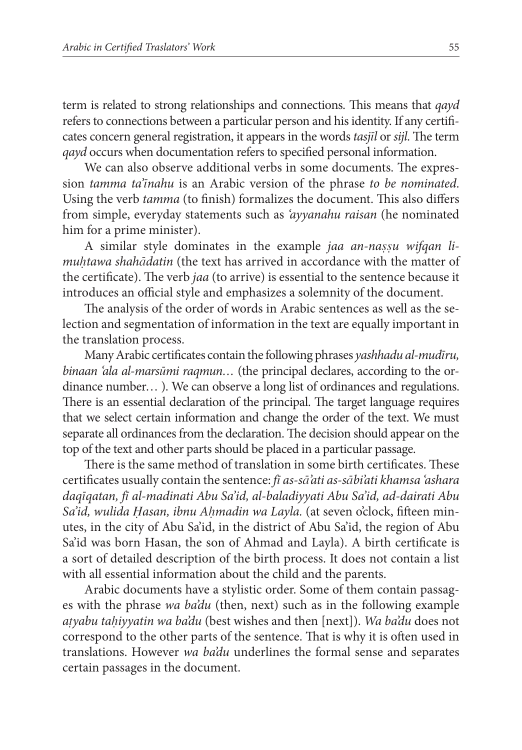term is related to strong relationships and connections. This means that *qayd* refers to connections between a particular person and his identity. If any certifi cates concern general registration, it appears in the words *tasjl* or *sijl*. The term *qayd* occurs when documentation refers to specified personal information.

We can also observe additional verbs in some documents. The expression *tamma ta'nahu* is an Arabic version of the phrase *to be nominated*. Using the verb *tamma* (to finish) formalizes the document. This also differs from simple, everyday statements such as *'ayyanahu raisan* (he nominated him for a prime minister).

A similar style dominates in the example *jaa an-nassu wifqan limutawa shahdatin* (the text has arrived in accordance with the matter of the certificate). The verb *jaa* (to arrive) is essential to the sentence because it introduces an official style and emphasizes a solemnity of the document.

The analysis of the order of words in Arabic sentences as well as the selection and segmentation of information in the text are equally important in the translation process.

Many Arabic certificates contain the following phrases *yashhadu al-mudīru*, *binaan 'ala al-marsmi raqmun…* (the principal declares, according to the ordinance number… ). We can observe a long list of ordinances and regulations. There is an essential declaration of the principal. The target language requires that we select certain information and change the order of the text. We must separate all ordinances from the declaration. The decision should appear on the top of the text and other parts should be placed in a particular passage.

There is the same method of translation in some birth certificates. These certifi cates usually contain the sentence: *f as-s'ati as-sbi'ati khamsa 'ashara daqqatan, f al-madinati Abu Sa'id, al-baladiyyati Abu Sa'id, ad-dairati Abu*  Sa'id, wulida *Hasan, ibnu Ahmadin wa Layla*. (at seven o'clock, fifteen minutes, in the city of Abu Sa'id, in the district of Abu Sa'id, the region of Abu Sa'id was born Hasan, the son of Ahmad and Layla). A birth certificate is a sort of detailed description of the birth process. It does not contain a list with all essential information about the child and the parents.

Arabic documents have a stylistic order. Some of them contain passages with the phrase *wa ba'du* (then, next) such as in the following example *ayabu taiyyatin wa ba'du* (best wishes and then [next]). *Wa ba'du* does not correspond to the other parts of the sentence. That is why it is often used in translations. However *wa ba'du* underlines the formal sense and separates certain passages in the document.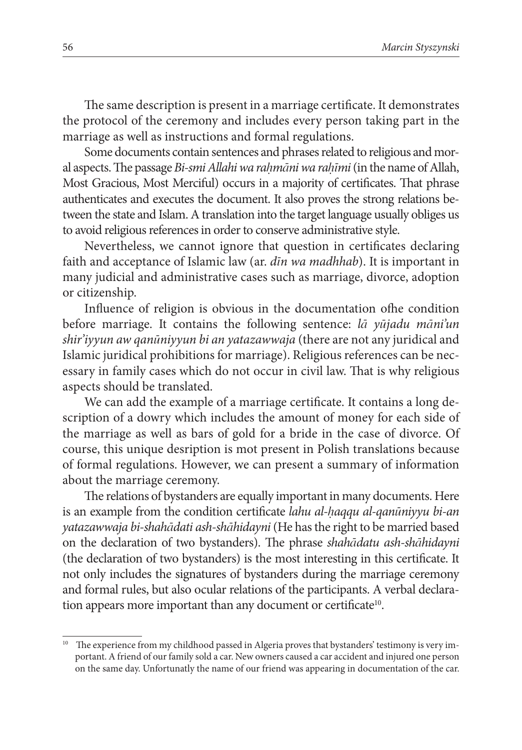The same description is present in a marriage certificate. It demonstrates the protocol of the ceremony and includes every person taking part in the marriage as well as instructions and formal regulations.

Some documents contain sentences and phrases related to religious and moral aspects. The passage *Bi-smi Allahi wa rahmāni wa rahīmi* (in the name of Allah, Most Gracious, Most Merciful) occurs in a majority of certificates. That phrase authenticates and executes the document. It also proves the strong relations between the state and Islam. A translation into the target language usually obliges us to avoid religious references in order to conserve administrative style.

Nevertheless, we cannot ignore that question in certificates declaring faith and acceptance of Islamic law (ar. *dn wa madhhab*). It is important in many judicial and administrative cases such as marriage, divorce, adoption or citizenship.

Influence of religion is obvious in the documentation ofhe condition before marriage. It contains the following sentence: *la yūjadu māni'un shir'iyyun aw qanniyyun bi an yatazawwaja* (there are not any juridical and Islamic juridical prohibitions for marriage). Religious references can be necessary in family cases which do not occur in civil law. That is why religious aspects should be translated.

We can add the example of a marriage certificate. It contains a long description of a dowry which includes the amount of money for each side of the marriage as well as bars of gold for a bride in the case of divorce. Of course, this unique desription is mot present in Polish translations because of formal regulations. However, we can present a summary of information about the marriage ceremony.

The relations of bystanders are equally important in many documents. Here is an example from the condition certificate *lahu al-haqqu al-qanuniyyu bi-an yatazawwaja bi-shahdati ash-shhidayni* (He has the right to be married based on the declaration of two bystanders). The phrase *shahadatu ash-shahidayni* (the declaration of two bystanders) is the most interesting in this certificate. It not only includes the signatures of bystanders during the marriage ceremony and formal rules, but also ocular relations of the participants. A verbal declaration appears more important than any document or certificate<sup>10</sup>.

 $10$  The experience from my childhood passed in Algeria proves that bystanders' testimony is very important. A friend of our family sold a car. New owners caused a car accident and injured one person on the same day. Unfortunatly the name of our friend was appearing in documentation of the car.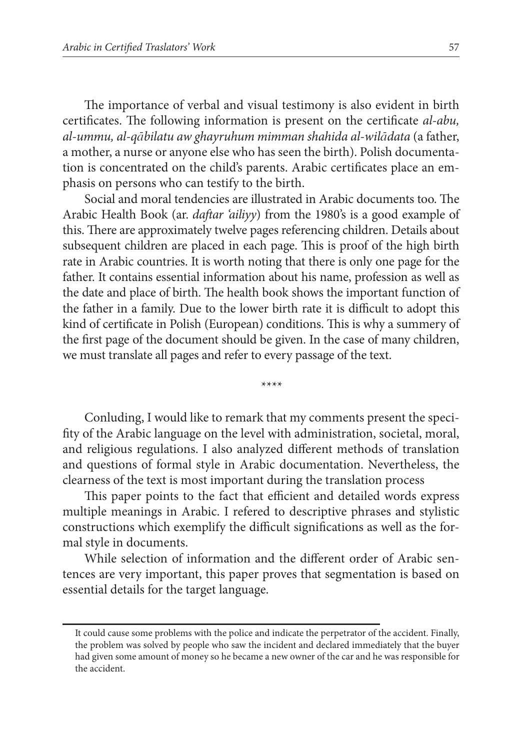The importance of verbal and visual testimony is also evident in birth certificates. The following information is present on the certificate *al-abu*, *al-ummu, al-qbilatu aw ghayruhum mimman shahida al-wildata* (a father, a mother, a nurse or anyone else who has seen the birth). Polish documentation is concentrated on the child's parents. Arabic certificates place an emphasis on persons who can testify to the birth.

Social and moral tendencies are illustrated in Arabic documents too. The Arabic Health Book (ar. *daftar 'ailiyy*) from the 1980's is a good example of this. There are approximately twelve pages referencing children. Details about subsequent children are placed in each page. This is proof of the high birth rate in Arabic countries. It is worth noting that there is only one page for the father. It contains essential information about his name, profession as well as the date and place of birth. The health book shows the important function of the father in a family. Due to the lower birth rate it is difficult to adopt this kind of certificate in Polish (European) conditions. This is why a summery of the first page of the document should be given. In the case of many children, we must translate all pages and refer to every passage of the text.

\*\*\*\*

Conluding, I would like to remark that my comments present the specifity of the Arabic language on the level with administration, societal, moral, and religious regulations. I also analyzed different methods of translation and questions of formal style in Arabic documentation. Nevertheless, the clearness of the text is most important during the translation process

This paper points to the fact that efficient and detailed words express multiple meanings in Arabic. I refered to descriptive phrases and stylistic constructions which exemplify the difficult significations as well as the formal style in documents.

While selection of information and the different order of Arabic sentences are very important, this paper proves that segmentation is based on essential details for the target language.

It could cause some problems with the police and indicate the perpetrator of the accident. Finally, the problem was solved by people who saw the incident and declared immediately that the buyer had given some amount of money so he became a new owner of the car and he was responsible for the accident.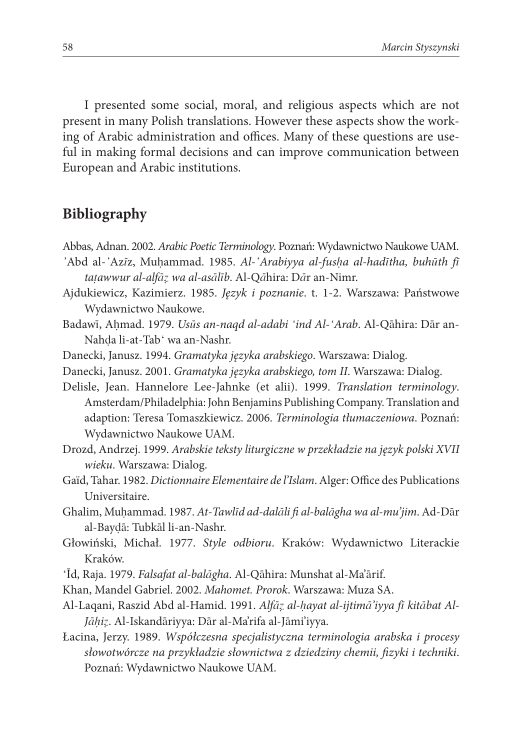I presented some social, moral, and religious aspects which are not present in many Polish translations. However these aspects show the working of Arabic administration and offices. Many of these questions are useful in making formal decisions and can improve communication between European and Arabic institutions.

## **Bibliography**

- Abbas, Adnan. 2002. *Arabic Poetic Terminology*. Poznań: Wydawnictwo Naukowe UAM.
- Abd al-Azz, Muammad. 1985. *Al-Arabiyya al-fusa al-hadtha, buhth f tațawwur al-alfāz wa al-asālīb. Al-Qāhira: Dār an-Nimr.*
- Ajdukiewicz, Kazimierz. 1985. *Język i poznanie*. t. 1-2. Warszawa: Państwowe Wydawnictwo Naukowe.
- Badawī, Aḥmad. 1979. *Usūs an-naqd al-adabi 'ind Al-'Arab*. Al-Qāhira: Dār an-Nahda li-at-Tab' wa an-Nashr.
- Danecki, Janusz. 1994. *Gramatyka języka arabskiego*. Warszawa: Dialog.
- Danecki, Janusz. 2001. *Gramatyka języka arabskiego, tom II*. Warszawa: Dialog.
- Delisle, Jean. Hannelore Lee-Jahnke (et alii). 1999. *Translation terminology*. Amsterdam/Philadelphia: John Benjamins Publishing Company. Translation and adaption: Teresa Tomaszkiewicz. 2006. *Terminologia tłumaczeniowa*. Poznań: Wydawnictwo Naukowe UAM.
- Drozd, Andrzej. 1999. *Arabskie teksty liturgiczne w przekładzie na język polski XVII wieku*. Warszawa: Dialog.
- Gaïd, Tahar. 1982. *Dictionnaire Elementaire de l'Islam*. Alger: Office des Publications Universitaire.
- Ghalim, Muhammad. 1987. At-Tawlīd ad-dalāli fi al-balāgha wa al-mu'jim. Ad-Dār al-Baydā: Tubkāl li-an-Nashr.
- Głowiński, Michał. 1977. *Style odbioru*. Kraków: Wydawnictwo Literackie Kraków.
- 'Id, Raja. 1979. *Falsafat al-balāgha*. Al-Qāhira: Munshat al-Ma'ārif.
- Khan, Mandel Gabriel. 2002. *Mahomet. Prorok*. Warszawa: Muza SA.
- Al-Laqani, Raszid Abd al-Hamid. 1991. Alfāz al-hayat al-ijtimā'iyya fī kitābat Al-*Jāhiz*. Al-Iskandāriyya: Dār al-Ma'rifa al-Jāmi'iyya.
- Łacina, Jerzy. 1989. *Współczesna specjalistyczna terminologia arabska i procesy*  słowotwórcze na przykładzie słownictwa z dziedziny chemii, fizyki i techniki. Poznań: Wydawnictwo Naukowe UAM.